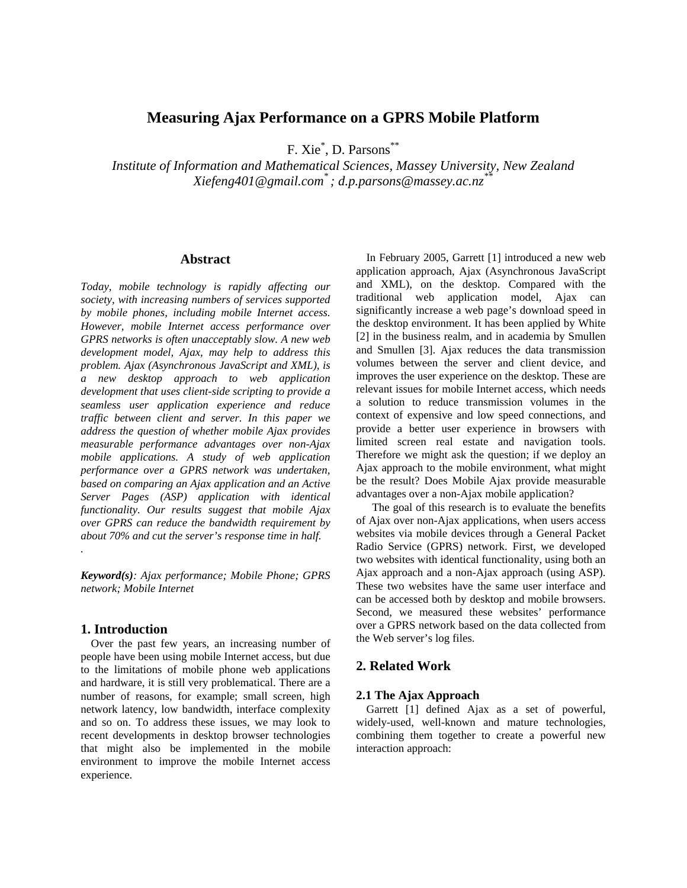# **Measuring Ajax Performance on a GPRS Mobile Platform**

F. Xie<sup>\*</sup>, D. Parsons<sup>\*\*</sup>

*Institute of Information and Mathematical Sciences, Massey University, New Zealand Xiefeng401@gmail.com\* ; d.p.parsons@massey.ac.nz\*\** 

## **Abstract**

*Today, mobile technology is rapidly affecting our society, with increasing numbers of services supported by mobile phones, including mobile Internet access. However, mobile Internet access performance over GPRS networks is often unacceptably slow. A new web development model, Ajax, may help to address this problem. Ajax (Asynchronous JavaScript and XML), is a new desktop approach to web application development that uses client-side scripting to provide a seamless user application experience and reduce traffic between client and server. In this paper we address the question of whether mobile Ajax provides measurable performance advantages over non-Ajax mobile applications. A study of web application performance over a GPRS network was undertaken, based on comparing an Ajax application and an Active Server Pages (ASP) application with identical functionality. Our results suggest that mobile Ajax over GPRS can reduce the bandwidth requirement by about 70% and cut the server's response time in half. .* 

*Keyword(s): Ajax performance; Mobile Phone; GPRS network; Mobile Internet* 

### **1. Introduction**

Over the past few years, an increasing number of people have been using mobile Internet access, but due to the limitations of mobile phone web applications and hardware, it is still very problematical. There are a number of reasons, for example; small screen, high network latency, low bandwidth, interface complexity and so on. To address these issues, we may look to recent developments in desktop browser technologies that might also be implemented in the mobile environment to improve the mobile Internet access experience.

In February 2005, Garrett [1] introduced a new web application approach, Ajax (Asynchronous JavaScript and XML), on the desktop. Compared with the traditional web application model, Ajax can significantly increase a web page's download speed in the desktop environment. It has been applied by White [2] in the business realm, and in academia by Smullen and Smullen [3]. Ajax reduces the data transmission volumes between the server and client device, and improves the user experience on the desktop. These are relevant issues for mobile Internet access, which needs a solution to reduce transmission volumes in the context of expensive and low speed connections, and provide a better user experience in browsers with limited screen real estate and navigation tools. Therefore we might ask the question; if we deploy an Ajax approach to the mobile environment, what might be the result? Does Mobile Ajax provide measurable advantages over a non-Ajax mobile application?

The goal of this research is to evaluate the benefits of Ajax over non-Ajax applications, when users access websites via mobile devices through a General Packet Radio Service (GPRS) network. First, we developed two websites with identical functionality, using both an Ajax approach and a non-Ajax approach (using ASP). These two websites have the same user interface and can be accessed both by desktop and mobile browsers. Second, we measured these websites' performance over a GPRS network based on the data collected from the Web server's log files.

## **2. Related Work**

## **2.1 The Ajax Approach**

Garrett [1] defined Ajax as a set of powerful, widely-used, well-known and mature technologies, combining them together to create a powerful new interaction approach: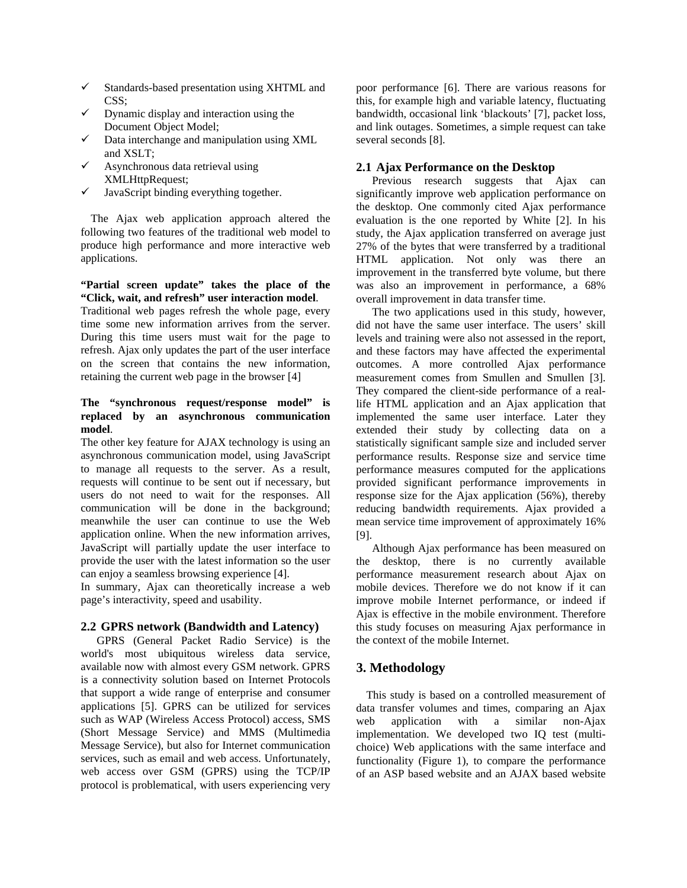- $\checkmark$  Standards-based presentation using XHTML and CSS;
- $\checkmark$  Dynamic display and interaction using the Document Object Model;
- Data interchange and manipulation using XML and XSLT;
- $\checkmark$  Asynchronous data retrieval using XMLHttpRequest;
- $\checkmark$  JavaScript binding everything together.

The Ajax web application approach altered the following two features of the traditional web model to produce high performance and more interactive web applications.

## **"Partial screen update" takes the place of the "Click, wait, and refresh" user interaction model**.

Traditional web pages refresh the whole page, every time some new information arrives from the server. During this time users must wait for the page to refresh. Ajax only updates the part of the user interface on the screen that contains the new information, retaining the current web page in the browser [4]

## **The "synchronous request/response model" is replaced by an asynchronous communication model**.

The other key feature for AJAX technology is using an asynchronous communication model, using JavaScript to manage all requests to the server. As a result, requests will continue to be sent out if necessary, but users do not need to wait for the responses. All communication will be done in the background; meanwhile the user can continue to use the Web application online. When the new information arrives, JavaScript will partially update the user interface to provide the user with the latest information so the user can enjoy a seamless browsing experience [4].

In summary, Ajax can theoretically increase a web page's interactivity, speed and usability.

## **2.2 GPRS network (Bandwidth and Latency)**

GPRS (General Packet Radio Service) is the world's most ubiquitous wireless data service, available now with almost every GSM network. GPRS is a connectivity solution based on Internet Protocols that support a wide range of enterprise and consumer applications [5]. GPRS can be utilized for services such as WAP (Wireless Access Protocol) access, SMS (Short Message Service) and MMS (Multimedia Message Service), but also for Internet communication services, such as email and web access. Unfortunately, web access over GSM (GPRS) using the TCP/IP protocol is problematical, with users experiencing very

poor performance [6]. There are various reasons for this, for example high and variable latency, fluctuating bandwidth, occasional link 'blackouts' [7], packet loss, and link outages. Sometimes, a simple request can take several seconds [8].

## **2.1 Ajax Performance on the Desktop**

Previous research suggests that Ajax can significantly improve web application performance on the desktop. One commonly cited Ajax performance evaluation is the one reported by White [2]. In his study, the Ajax application transferred on average just 27% of the bytes that were transferred by a traditional HTML application. Not only was there an improvement in the transferred byte volume, but there was also an improvement in performance, a 68% overall improvement in data transfer time.

The two applications used in this study, however, did not have the same user interface. The users' skill levels and training were also not assessed in the report, and these factors may have affected the experimental outcomes. A more controlled Ajax performance measurement comes from Smullen and Smullen [3]. They compared the client-side performance of a reallife HTML application and an Ajax application that implemented the same user interface. Later they extended their study by collecting data on a statistically significant sample size and included server performance results. Response size and service time performance measures computed for the applications provided significant performance improvements in response size for the Ajax application (56%), thereby reducing bandwidth requirements. Ajax provided a mean service time improvement of approximately 16% [9].

Although Ajax performance has been measured on the desktop, there is no currently available performance measurement research about Ajax on mobile devices. Therefore we do not know if it can improve mobile Internet performance, or indeed if Ajax is effective in the mobile environment. Therefore this study focuses on measuring Ajax performance in the context of the mobile Internet.

## **3. Methodology**

This study is based on a controlled measurement of data transfer volumes and times, comparing an Ajax web application with a similar non-Ajax implementation. We developed two IQ test (multichoice) Web applications with the same interface and functionality (Figure 1), to compare the performance of an ASP based website and an AJAX based website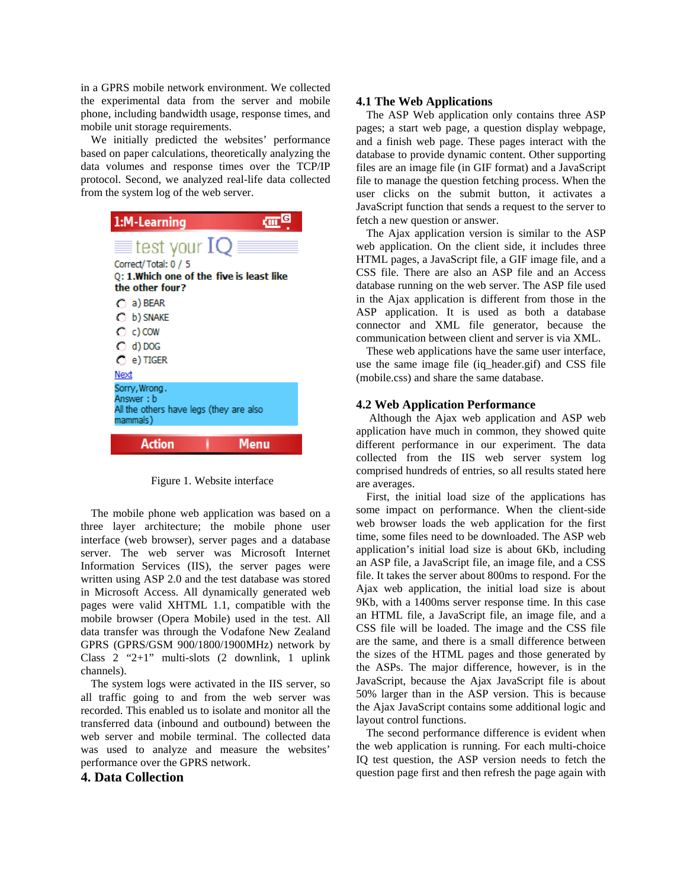in a GPRS mobile network environment. We collected the experimental data from the server and mobile phone, including bandwidth usage, response times, and mobile unit storage requirements.

We initially predicted the websites' performance based on paper calculations, theoretically analyzing the data volumes and response times over the TCP/IP protocol. Second, we analyzed real-life data collected from the system log of the web server.

| 1:M-Learning                                                                       |
|------------------------------------------------------------------------------------|
| $\equiv$ test your ${\rm IQ}$<br>Correct/Total: 0 / 5                              |
| Q: 1.Which one of the five is least like<br>the other four?                        |
| $\bigcap$ a) BEAR                                                                  |
| C b) SNAKE                                                                         |
| C c) COW                                                                           |
| $\bigcirc$ d) DOG                                                                  |
| $\bigcirc$ e) TIGER                                                                |
| Next                                                                               |
| Sorry, Wrong.<br>Answer : b<br>All the others have legs (they are also<br>mammals) |
| <b>Action</b><br>4enu                                                              |

Figure 1. Website interface

The mobile phone web application was based on a three layer architecture; the mobile phone user interface (web browser), server pages and a database server. The web server was Microsoft Internet Information Services (IIS), the server pages were written using ASP 2.0 and the test database was stored in Microsoft Access. All dynamically generated web pages were valid XHTML 1.1, compatible with the mobile browser (Opera Mobile) used in the test. All data transfer was through the Vodafone New Zealand GPRS (GPRS/GSM 900/1800/1900MHz) network by Class 2 "2+1" multi-slots (2 downlink, 1 uplink channels).

The system logs were activated in the IIS server, so all traffic going to and from the web server was recorded. This enabled us to isolate and monitor all the transferred data (inbound and outbound) between the web server and mobile terminal. The collected data was used to analyze and measure the websites' performance over the GPRS network.

### **4. Data Collection**

### **4.1 The Web Applications**

The ASP Web application only contains three ASP pages; a start web page, a question display webpage, and a finish web page. These pages interact with the database to provide dynamic content. Other supporting files are an image file (in GIF format) and a JavaScript file to manage the question fetching process. When the user clicks on the submit button, it activates a JavaScript function that sends a request to the server to fetch a new question or answer.

The Ajax application version is similar to the ASP web application. On the client side, it includes three HTML pages, a JavaScript file, a GIF image file, and a CSS file. There are also an ASP file and an Access database running on the web server. The ASP file used in the Ajax application is different from those in the ASP application. It is used as both a database connector and XML file generator, because the communication between client and server is via XML.

These web applications have the same user interface, use the same image file (iq\_header.gif) and CSS file (mobile.css) and share the same database.

### **4.2 Web Application Performance**

 Although the Ajax web application and ASP web application have much in common, they showed quite different performance in our experiment. The data collected from the IIS web server system log comprised hundreds of entries, so all results stated here are averages.

First, the initial load size of the applications has some impact on performance. When the client-side web browser loads the web application for the first time, some files need to be downloaded. The ASP web application's initial load size is about 6Kb, including an ASP file, a JavaScript file, an image file, and a CSS file. It takes the server about 800ms to respond. For the Ajax web application, the initial load size is about 9Kb, with a 1400ms server response time. In this case an HTML file, a JavaScript file, an image file, and a CSS file will be loaded. The image and the CSS file are the same, and there is a small difference between the sizes of the HTML pages and those generated by the ASPs. The major difference, however, is in the JavaScript, because the Ajax JavaScript file is about 50% larger than in the ASP version. This is because the Ajax JavaScript contains some additional logic and layout control functions.

The second performance difference is evident when the web application is running. For each multi-choice IQ test question, the ASP version needs to fetch the question page first and then refresh the page again with